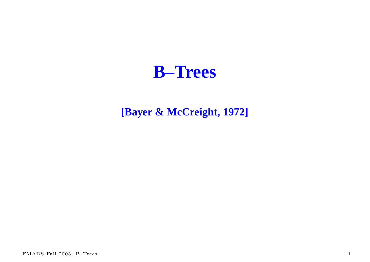## **B–Trees**

### **[Bayer & McCreight, 1972]**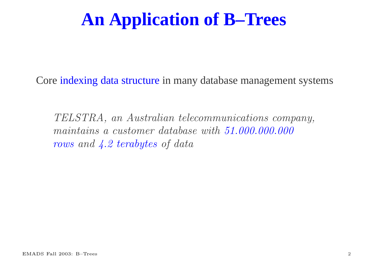## **An Application of B–Trees**

Core indexing data structure in many database managemen<sup>t</sup> systems

TELSTRA, an Australian telecommunications company, maintains a customer database with 51.000.000.000 rows and 4.2 terabytes of data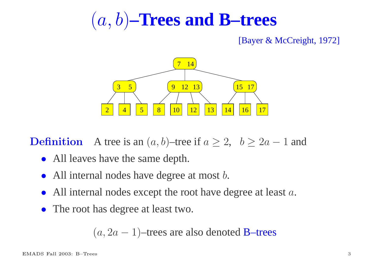# (a, b)**–Trees and B–trees**

#### [Bayer & McCreight, 1972]



**Definition n** A tree is an  $(a, b)$ –tree if  $a \ge 2$ ,  $b \ge 2a - 1$  and

- All leaves have the same depth.
- $\bullet$ All internal nodes have degree at most *b*.
- $\bullet$ All internal nodes except the root have degree at least a.
- The root has degree at least two.

 $(a, 2a - 1)$ –trees are also denoted B–trees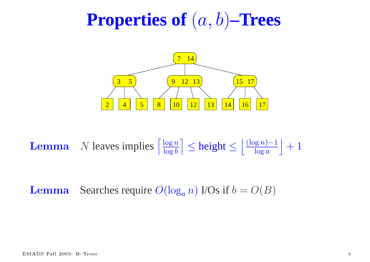## **Properties of** (a, b)**–Trees**



Lemma**a** N leaves implies  $\left\lceil \frac{\log n}{\log b} \right\rceil \leq$  height  $\leq \left\lfloor \frac{(\log n) - 1}{\log a} \right\rfloor + 1$ 

Lemma**a** Searches require  $O(\log_a n)$  I/Os if  $b = O(B)$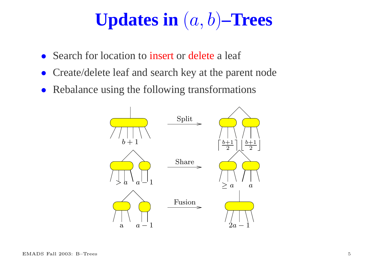# **Updates in** (a, b)**–Trees**

- $\bullet$ Search for location to insert or delete <sup>a</sup> leaf
- $\bullet$ Create/delete leaf and search key at the paren<sup>t</sup> node
- $\bullet$ Rebalance using the following transformations

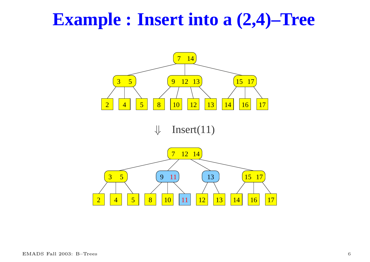## **Example : Insert into <sup>a</sup> (2,4)–Tree**

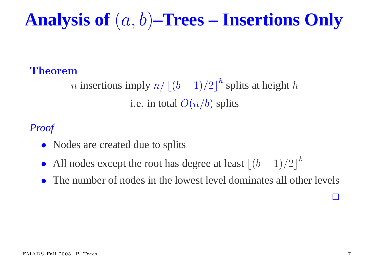**Analysis of** (a, b)**–Trees – Insertions Only**

### Theorem

*n* insertions imply  $n / \lfloor (b + 1)/2 \rfloor^h$  splits at height h i.e. in total  $O(n/b)$  splits

### *Proof*

- Nodes are created due to splits
- $\bullet$ All nodes except the root has degree at least  $\left| \frac{(b + 1)}{2} \right|^h$
- $\bullet$ The number of nodes in the lowest level dominates all other levels

 $\Box$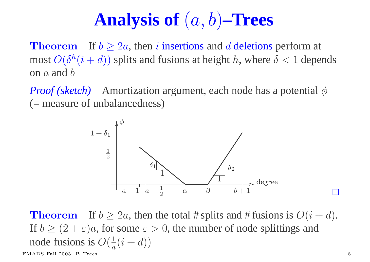# **Analysis of** (a, b)**–Trees**

TheoremIf  $b \geq 2a$ , then *i* insertions and *d* deletions perform at most  $O(\delta^h(i+d))$  splits and fusions at height h, where  $\delta < 1$  depends on  $a$  and  $b$ 

*Proof* (*sketch*) Amortization argument, each node has a potential  $\phi$ (= measure of unbalancedness)



TheoremIf  $b \ge 2a$ , then the total # splits and # fusions is  $O(i + d)$ . If  $b \ge (2 + \varepsilon)a$ , for some  $\varepsilon > 0$ , the number of node splittings and node fusions is  $O(\frac{1}{a}(i+d))$ 

EMADS Fall 2003: B–Trees 8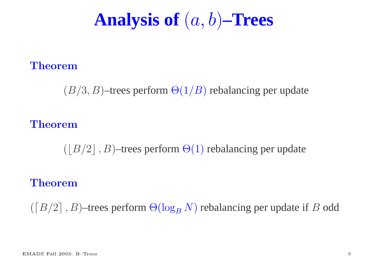## **Analysis of** (a, b)**–Trees**

#### Theorem

 $(B/3, B)$ –trees perform  $\Theta(1/B)$  rebalancing per update

#### Theorem

 $(|B/2|, B)$ –trees perform  $\Theta(1)$  rebalancing per update

#### Theorem

 $(\lceil B/2 \rceil, B)$ –trees perform  $\Theta(\log_B N)$  rebalancing per update if  $B$  odd